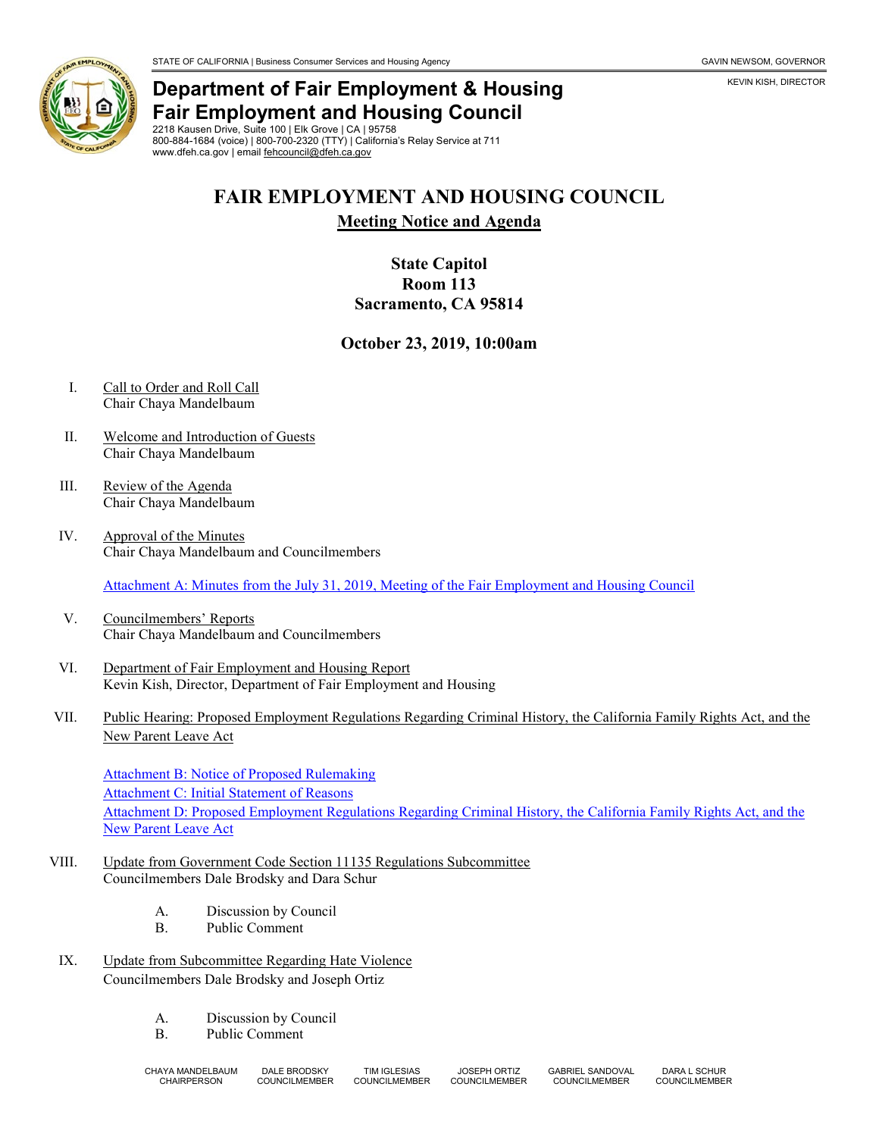

## **Department of Fair Employment & Housing Fair Employment and Housing Council**

2218 Kausen Drive, Suite 100 | Elk Grove | CA | 95758 800-884-1684 (voice) | 800-700-2320 (TTY) | California's Relay Service at 711 www.dfeh.ca.gov | email [fehcouncil@dfeh.ca.gov](mailto:fehcouncil@dfeh.ca.gov)

# **FAIR EMPLOYMENT AND HOUSING COUNCIL**

**Meeting Notice and Agenda**

### **State Capitol Room 113 Sacramento, CA 95814**

#### **October 23, 2019, 10:00am**

- I. Call to Order and Roll Call Chair Chaya Mandelbaum
- II. Welcome and Introduction of Guests Chair Chaya Mandelbaum
- III. Review of the Agenda Chair Chaya Mandelbaum
- IV. Approval of the Minutes Chair Chaya Mandelbaum and Councilmembers

[Attachment A: Minutes from the July 31, 2019, Meeting of the Fair Employment and Housing Council](https://www.dfeh.ca.gov/wp-content/uploads/sites/32/2019/10/AttachA-FEHCMinutes2019July31.pdf)

- V. Councilmembers' Reports Chair Chaya Mandelbaum and Councilmembers
- VI. Department of Fair Employment and Housing Report Kevin Kish, Director, Department of Fair Employment and Housing
- VII. Public Hearing: Proposed Employment Regulations Regarding Criminal History, the California Family Rights Act, and the New Parent Leave Act

[Attachment B: Notice of Proposed Rulemaking](https://www.dfeh.ca.gov/wp-content/uploads/sites/32/2019/10/AttachB-NtEmployRegCH-CFRA-NPLA.pdf) [Attachment C: Initial Statement of Reasons](https://www.dfeh.ca.gov/wp-content/uploads/sites/32/2019/10/AttachC-InitStmtReasons4EmployRegCH-CFRA-NPLA.pdf) [Attachment D: Proposed Employment Regulations Regarding Criminal History, the California Family Rights Act, and the](https://www.dfeh.ca.gov/wp-content/uploads/sites/32/2019/10/AttachD-TextEmployRegCH-CFRA-NPLA.pdf)  [New Parent Leave Act](https://www.dfeh.ca.gov/wp-content/uploads/sites/32/2019/10/AttachD-TextEmployRegCH-CFRA-NPLA.pdf)

- VIII. Update from Government Code Section 11135 Regulations Subcommittee Councilmembers Dale Brodsky and Dara Schur
	- A. Discussion by Council
	- B. Public Comment
- IX. Update from Subcommittee Regarding Hate Violence Councilmembers Dale Brodsky and Joseph Ortiz
	- A. Discussion by Council
	- B. Public Comment